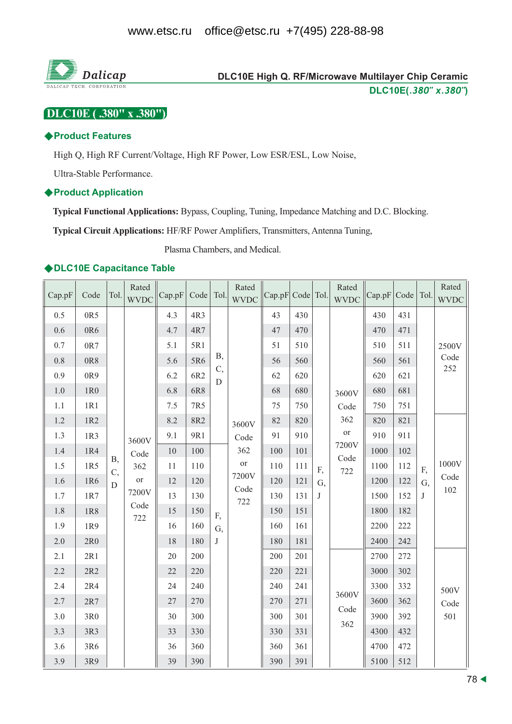

# DLC10E High Q. RF/Microwave Multilayer Chip Ceramic DLC10E(.380" x.380")

DLC10E (.380" x .380")

#### ◆Product Features

High Q, High RF Current/Voltage, High RF Power, Low ESR/ESL, Low Noise,

Ultra-Stable Performance.

#### **◆Product Application**

Typical Functional Applications: Bypass, Coupling, Tuning, Impedance Matching and D.C. Blocking.

**Typical Circuit Applications: HF/RF Power Amplifiers, Transmitters, Antenna Tuning,** 

Plasma Chambers, and Medical.

#### ◆DLC10E Capacitance Table

| Cap.pF  | Code  | Tol.        | Rated<br>WVDC | Cap.pF | Code Tol.  |            | Rated<br><b>WVDC</b> | Cap.pF Code Tol. |     |    | Rated<br><b>WVDC</b> | Cap.pF | Code   Tol. |              | Rated<br><b>WVDC</b> |
|---------|-------|-------------|---------------|--------|------------|------------|----------------------|------------------|-----|----|----------------------|--------|-------------|--------------|----------------------|
| 0.5     | 0R5   |             |               | 4.3    | 4R3        |            |                      | 43               | 430 |    |                      | 430    | 431         |              |                      |
| 0.6     | 0R6   |             |               | 4.7    | 4R7        |            |                      | 47               | 470 |    |                      | 470    | 471         |              |                      |
| 0.7     | 0R7   |             |               | 5.1    | 5R1        |            |                      | 51               | 510 |    |                      | 510    | 511         |              | 2500V                |
| $0.8\,$ | 0R8   |             |               | 5.6    | 5R6        | <b>B</b> , |                      | 56               | 560 |    |                      | 560    | 561         |              | Code<br>252          |
| 0.9     | 0R9   |             |               | 6.2    | 6R2        | C,<br>D    |                      | 62               | 620 |    |                      | 620    | 621         |              |                      |
| $1.0\,$ | 1R0   |             |               | 6.8    | 6R8        |            |                      | 68               | 680 |    | 3600V                | 680    | 681         |              |                      |
| 1.1     | 1R1   |             |               | 7.5    | 7R5        |            |                      | 75               | 750 |    | Code                 | 750    | 751         |              |                      |
| 1.2     | 1R2   |             |               | 8.2    | <b>8R2</b> |            | 3600V                | 82               | 820 |    | 362                  | 820    | 821         |              |                      |
| 1.3     | 1R3   |             | 3600V         | 9.1    | 9R1        |            | Code                 | 91               | 910 |    | $\hbox{or}\hbox{}$   | 910    | 911         |              |                      |
| 1.4     | 1R4   | <b>B</b> ,  | Code          | 10     | 100        |            | 362                  | 100              | 101 |    | 7200V<br>Code        | 1000   | 102         |              |                      |
| 1.5     | 1R5   | C,          | 362           | 11     | 110        |            | $\hbox{or}$          | 110              | 111 | F, | 722                  | 1100   | 112         | F,           | 1000V                |
| 1.6     | 1R6   | $\mathbf D$ | or            | 12     | 120        |            | 7200V<br>Code        | 120              | 121 | G, |                      | 1200   | 122         | G,           | Code                 |
| 1.7     | 1R7   |             | 7200V         | 13     | 130        |            | 722                  | 130              | 131 | J  |                      | 1500   | 152         | $\mathbf{J}$ | 102                  |
| 1.8     | 1R8   |             | Code<br>722   | 15     | 150        | F,         |                      | 150              | 151 |    |                      | 1800   | 182         |              |                      |
| 1.9     | 1R9   |             |               | 16     | 160        | G,         |                      | 160              | 161 |    |                      | 2200   | 222         |              |                      |
| 2.0     | 2R0   |             |               | 18     | 180        | J          |                      | 180              | 181 |    |                      | 2400   | 242         |              |                      |
| 2.1     | 2R1   |             |               | 20     | 200        |            |                      | 200              | 201 |    |                      | 2700   | 272         |              |                      |
| 2.2     | $2R2$ |             |               | 22     | 220        |            |                      | 220              | 221 |    |                      | 3000   | 302         |              |                      |
| 2.4     | 2R4   |             |               | 24     | 240        |            |                      | 240              | 241 |    |                      | 3300   | 332         |              | 500V                 |
| 2.7     | $2R7$ |             |               | 27     | 270        |            |                      | 270              | 271 |    | 3600V                | 3600   | 362         |              | Code                 |
| 3.0     | 3R0   |             |               | 30     | 300        |            |                      | 300              | 301 |    | Code<br>362          | 3900   | 392         |              | 501                  |
| 3.3     | 3R3   |             |               | 33     | 330        |            |                      | 330              | 331 |    |                      | 4300   | 432         |              |                      |
| 3.6     | 3R6   |             |               | 36     | 360        |            |                      | 360              | 361 |    |                      | 4700   | 472         |              |                      |
| 3.9     | 3R9   |             |               | 39     | 390        |            |                      | 390              | 391 |    |                      | 5100   | 512         |              |                      |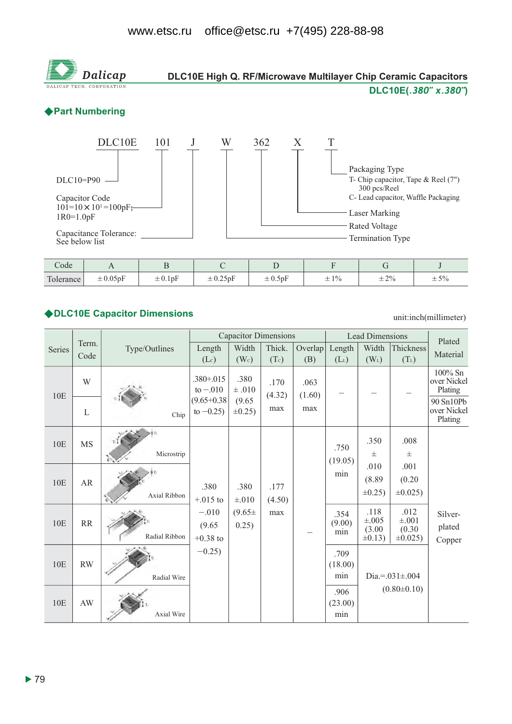

#### ◆DLC10E Capacitor Dimensions

unit:inch(millimeter)

|        |                        |               |                                 | <b>Capacitor Dimensions</b> |                |                |                        | <b>Lead Dimensions</b>                       |                                               | Plated                               |
|--------|------------------------|---------------|---------------------------------|-----------------------------|----------------|----------------|------------------------|----------------------------------------------|-----------------------------------------------|--------------------------------------|
| Series | Term.<br>Code          | Type/Outlines | Length                          | Width                       | Thick.         | Overlap        | Length                 | Width                                        | Thickness                                     | Material                             |
|        |                        |               | (Lc)                            | (W <sub>c</sub> )           | (Tc)           | (B)            | $(L_L)$                | $(W_L)$                                      | $(T_L)$                                       |                                      |
| 10E    | W                      |               | $.380 + .015$<br>to $-.010$     | .380<br>$\pm$ .010          | .170<br>(4.32) | .063<br>(1.60) |                        |                                              |                                               | $100\%$ Sn<br>over Nickel<br>Plating |
|        | $\mathbf{L}$           | Chip          | $(9.65 + 0.38)$<br>to $-0.25$ ) | (9.65)<br>$\pm 0.25$ )      | max            | max            |                        |                                              |                                               | 90 Sn10Pb<br>over Nickel<br>Plating  |
| 10E    | <b>MS</b>              | Microstrip    |                                 |                             |                |                | .750<br>(19.05)        | .350<br>士                                    | .008<br>$_{\pm}$                              |                                      |
| 10E    | AR                     | Axial Ribbon  | .380<br>$+.015$ to              | .380<br>$\pm .010$          | .177<br>(4.50) |                | min                    | .010<br>(8.89)<br>$\pm 0.25$ )               | .001<br>(0.20)<br>$\pm 0.025$ )               |                                      |
| 10E    | RR                     | Radial Ribbon | $-.010$<br>(9.65)<br>$+0.38$ to | $(9.65 \pm$<br>0.25)        | max            |                | .354<br>(9.00)<br>min  | .118<br>$\pm .005$<br>(3.00)<br>$\pm 0.13$ ) | .012<br>$\pm .001$<br>(0.30)<br>$\pm 0.025$ ) | Silver-<br>plated<br>Copper          |
| 10E    | <b>RW</b>              | Radial Wire   | $-0.25$ )                       |                             |                |                | .709<br>(18.00)<br>min |                                              | Dia.=. $031 \pm .004$                         |                                      |
| 10E    | $\mathbf{A}\mathbf{W}$ | Axial Wire    |                                 |                             |                |                | .906<br>(23.00)<br>min |                                              | $(0.80 \pm 0.10)$                             |                                      |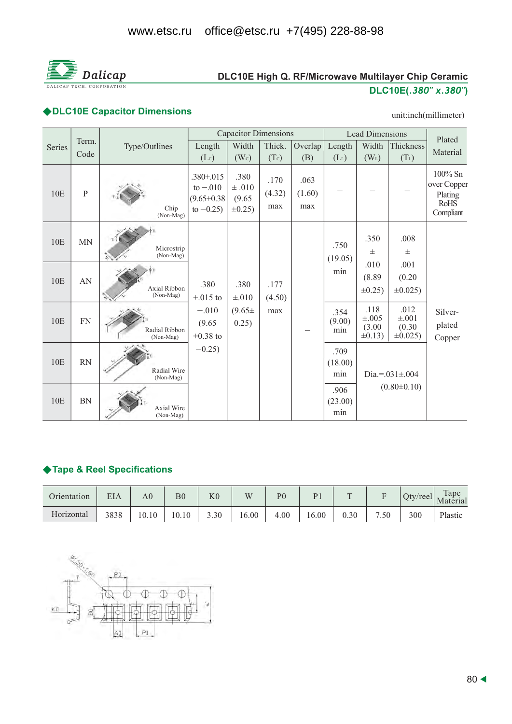

# DLC10E High Q. RF/Microwave Multilayer Chip Ceramic DLC10E(.380" x.380")

# ◆DLC10E Capacitor Dimensions

#### unit:inch(millimeter)

|        |               |                                |                                                                | <b>Capacitor Dimensions</b>                  |                       |                       |                        | <b>Lead Dimensions</b>                       |                                             | Plated                                                           |
|--------|---------------|--------------------------------|----------------------------------------------------------------|----------------------------------------------|-----------------------|-----------------------|------------------------|----------------------------------------------|---------------------------------------------|------------------------------------------------------------------|
| Series | Term.<br>Code | Type/Outlines                  | Length<br>(Lc)                                                 | Width<br>(W <sub>c</sub> )                   | Thick.<br>(Tc)        | Overlap<br>(B)        | Length<br>$(L_L)$      | Width<br>$(W_L)$                             | Thickness<br>$(T_L)$                        | Material                                                         |
| 10E    | $\, {\bf P}$  | Chip<br>(Non-Mag)              | $.380 + .015$<br>to $-.010$<br>$(9.65 + 0.38)$<br>to $-0.25$ ) | .380<br>$\pm .010$<br>(9.65)<br>$\pm 0.25$ ) | .170<br>(4.32)<br>max | .063<br>(1.60)<br>max |                        |                                              |                                             | $100\%$ Sn<br>over Copper<br>Plating<br><b>RoHS</b><br>Compliant |
| 10E    | <b>MN</b>     | Microstrip<br>(Non-Mag)        |                                                                |                                              |                       |                       | .750<br>(19.05)        | .350<br>$_{\pm}$                             | .008<br>士                                   |                                                                  |
| 10E    | AN            | Axial Ribbon<br>(Non-Mag)      | .380<br>$+.015$ to                                             | .380<br>$\pm .010$                           | .177<br>(4.50)        |                       | min                    | .010<br>(8.89)<br>$\pm 0.25$                 | .001<br>(0.20)<br>$\pm 0.025$               |                                                                  |
| 10E    | <b>FN</b>     | Radial Ribbon<br>(Non-Mag)     | $-.010$<br>(9.65)<br>$+0.38$ to                                | $(9.65 \pm$<br>0.25)                         | max                   |                       | .354<br>(9.00)<br>min  | .118<br>$\pm .005$<br>(3.00)<br>$\pm 0.13$ ) | .012<br>$\pm .001$<br>(0.30)<br>$\pm 0.025$ | Silver-<br>plated<br>Copper                                      |
| 10E    | <b>RN</b>     | Radial Wire<br>(Non-Mag)       | $-0.25$ )                                                      |                                              |                       |                       | .709<br>(18.00)<br>min |                                              | Dia.=. $031 \pm 004$                        |                                                                  |
| 10E    | <b>BN</b>     | <b>Axial Wire</b><br>(Non-Mag) |                                                                |                                              |                       |                       | .906<br>(23.00)<br>min |                                              | $(0.80 \pm 0.10)$                           |                                                                  |

## ◆ Tape & Reel Specifications

| Orientation | EIA  | A <sub>0</sub> | B <sub>0</sub> | $_{\rm K0}$ | W     | P <sub>0</sub> | P <sub>1</sub> | $\sqrt{ }$ |      | $Qty$ /reel | Tape<br>Material |
|-------------|------|----------------|----------------|-------------|-------|----------------|----------------|------------|------|-------------|------------------|
| Horizontal  | 3838 | 10.10          | 10.10          | 3.30        | 16.00 | 4.00           | 16.00          | 0.30       | 7.50 | 300         | Plastic          |

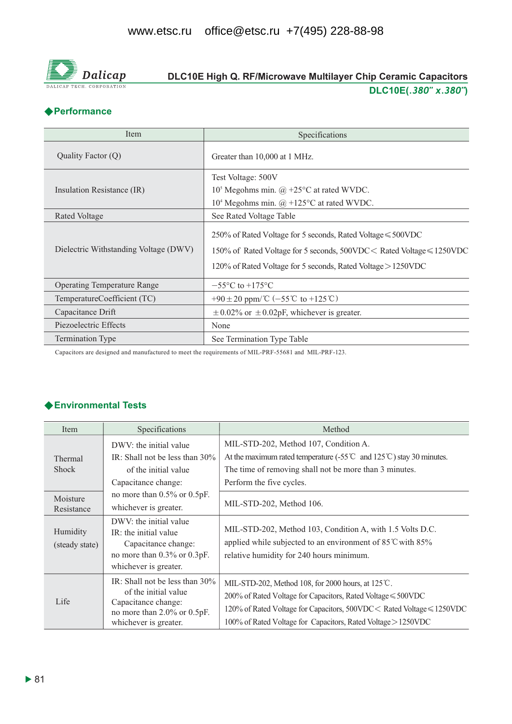

# DLC10E High Q. RF/Microwave Multilayer Chip Ceramic Capacitors DLC10E(.380" x.380")

## ◆Performance

| Item                                  | Specifications                                                                                                                                                                                             |
|---------------------------------------|------------------------------------------------------------------------------------------------------------------------------------------------------------------------------------------------------------|
| Quality Factor (Q)                    | Greater than 10,000 at 1 MHz.                                                                                                                                                                              |
|                                       | Test Voltage: 500V                                                                                                                                                                                         |
| Insulation Resistance (IR)            | $105$ Megohms min. @ +25 $\rm{^{\circ}C}$ at rated WVDC.                                                                                                                                                   |
|                                       | $104$ Megohms min. $\omega$ +125°C at rated WVDC.                                                                                                                                                          |
| Rated Voltage                         | See Rated Voltage Table                                                                                                                                                                                    |
| Dielectric Withstanding Voltage (DWV) | 250% of Rated Voltage for 5 seconds, Rated Voltage $\leq 500$ VDC<br>150% of Rated Voltage for 5 seconds, 500VDC < Rated Voltage ≤ 1250VDC<br>120% of Rated Voltage for 5 seconds, Rated Voltage > 1250VDC |
| <b>Operating Temperature Range</b>    | $-55^{\circ}$ C to $+175^{\circ}$ C                                                                                                                                                                        |
| TemperatureCoefficient (TC)           | +90 ± 20 ppm/ $\mathbb{C}$ (-55 $\mathbb{C}$ to +125 $\mathbb{C}$ )                                                                                                                                        |
| Capacitance Drift                     | $\pm$ 0.02% or $\pm$ 0.02pF, whichever is greater.                                                                                                                                                         |
| Piezoelectric Effects                 | None                                                                                                                                                                                                       |
| Termination Type                      | See Termination Type Table                                                                                                                                                                                 |

Capacitors are designed and manufactured to meet the requirements of MIL-PRF-55681 and MIL-PRF-123.

# ◆ Environmental Tests

| Item                       | Specifications                                                                                                                                 | Method                                                                                                                                                                                                                                                                        |
|----------------------------|------------------------------------------------------------------------------------------------------------------------------------------------|-------------------------------------------------------------------------------------------------------------------------------------------------------------------------------------------------------------------------------------------------------------------------------|
| Thermal<br><b>Shock</b>    | DWV: the initial value<br>IR: Shall not be less than $30\%$<br>of the initial value<br>Capacitance change:                                     | MIL-STD-202, Method 107, Condition A.<br>At the maximum rated temperature $(-55^{\circ}\text{C} \text{ and } 125^{\circ}\text{C})$ stay 30 minutes.<br>The time of removing shall not be more than 3 minutes.<br>Perform the five cycles.                                     |
| Moisture<br>Resistance     | no more than $0.5\%$ or $0.5pF$ .<br>whichever is greater.                                                                                     | MIL-STD-202, Method 106.                                                                                                                                                                                                                                                      |
| Humidity<br>(steady state) | DWV: the initial value<br>IR: the initial value<br>Capacitance change:<br>no more than 0.3% or 0.3pF.<br>whichever is greater.                 | MIL-STD-202, Method 103, Condition A, with 1.5 Volts D.C.<br>applied while subjected to an environment of $85^{\circ}$ C with $85\%$<br>relative humidity for 240 hours minimum.                                                                                              |
| Life                       | IR: Shall not be less than $30\%$<br>of the initial value<br>Capacitance change:<br>no more than $2.0\%$ or $0.5pF$ .<br>whichever is greater. | MIL-STD-202, Method 108, for 2000 hours, at $125^{\circ}$ C.<br>200% of Rated Voltage for Capacitors, Rated Voltage $\leq 500$ VDC<br>120% of Rated Voltage for Capacitors, 500VDC < Rated Voltage ≤ 1250VDC<br>100% of Rated Voltage for Capacitors, Rated Voltage > 1250VDC |